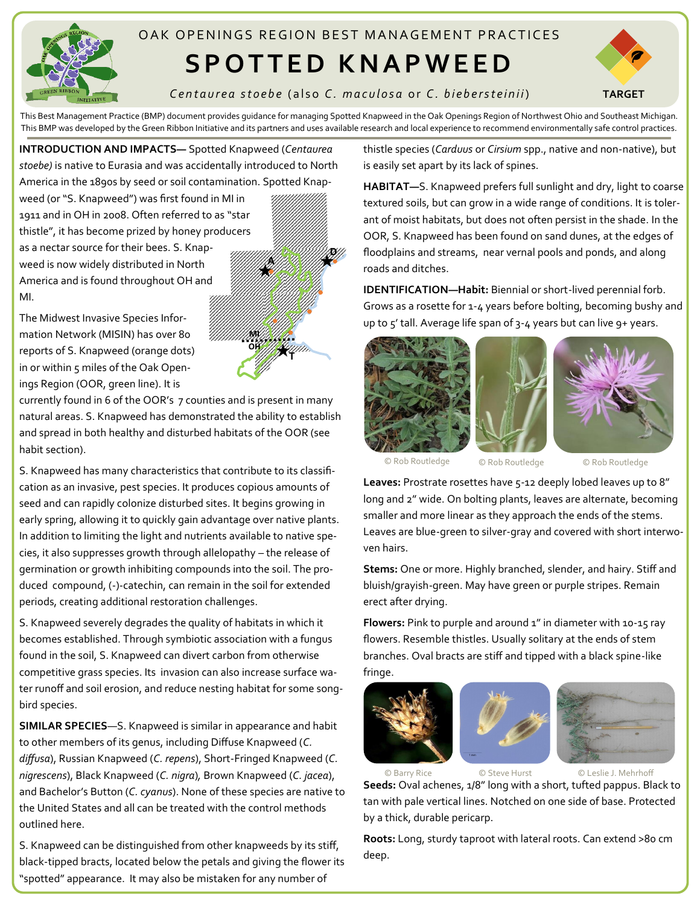

## OAK OPFNINGS REGION BEST MANAGEMENT PRACTICES

## **S P O T T E D K N A P W E E D**



*C e n t a u r e a s t o e b e* ( a l s o *C . m a c u l o s a* o r *C . b i e b e r s t e i n i i*)

This Best Management Practice (BMP) document provides guidance for managing Spotted Knapweed in the Oak Openings Region of Northwest Ohio and Southeast Michigan. This BMP was developed by the Green Ribbon Initiative and its partners and uses available research and local experience to recommend environmentally safe control practices.

**D**

**T**

**OH MI** **A**

**INTRODUCTION AND IMPACTS—** Spotted Knapweed (*Centaurea stoebe)* is native to Eurasia and was accidentally introduced to North America in the 1890s by seed or soil contamination. Spotted Knap-

weed (or "S. Knapweed") was first found in MI in 1911 and in OH in 2008. Often referred to as "star thistle", it has become prized by honey producers as a nectar source for their bees. S. Knapweed is now widely distributed in North America and is found throughout OH and MI.

The Midwest Invasive Species Information Network (MISIN) has over 80 reports of S. Knapweed (orange dots) in or within 5 miles of the Oak Openings Region (OOR, green line). It is

currently found in 6 of the OOR's 7 counties and is present in many natural areas. S. Knapweed has demonstrated the ability to establish and spread in both healthy and disturbed habitats of the OOR (see habit section).

S. Knapweed has many characteristics that contribute to its classification as an invasive, pest species. It produces copious amounts of seed and can rapidly colonize disturbed sites. It begins growing in early spring, allowing it to quickly gain advantage over native plants. In addition to limiting the light and nutrients available to native species, it also suppresses growth through allelopathy – the release of germination or growth inhibiting compounds into the soil. The produced compound, (-)-catechin, can remain in the soil for extended periods, creating additional restoration challenges.

S. Knapweed severely degrades the quality of habitats in which it becomes established. Through symbiotic association with a fungus found in the soil, S. Knapweed can divert carbon from otherwise competitive grass species. Its invasion can also increase surface water runoff and soil erosion, and reduce nesting habitat for some songbird species.

**SIMILAR SPECIES**—S. Knapweed is similar in appearance and habit to other members of its genus, including Diffuse Knapweed (*C. diffusa*), Russian Knapweed (*C. repens*), Short-Fringed Knapweed (*C. nigrescens*), Black Knapweed (*C. nigra*)*,* Brown Knapweed (*C. jacea*), and Bachelor's Button (*C. cyanus*). None of these species are native to the United States and all can be treated with the control methods outlined here.

S. Knapweed can be distinguished from other knapweeds by its stiff, black-tipped bracts, located below the petals and giving the flower its "spotted" appearance. It may also be mistaken for any number of

thistle species (*Carduus* or *Cirsium* spp., native and non-native), but is easily set apart by its lack of spines.

**HABITAT—**S. Knapweed prefers full sunlight and dry, light to coarse textured soils, but can grow in a wide range of conditions. It is tolerant of moist habitats, but does not often persist in the shade. In the OOR, S. Knapweed has been found on sand dunes, at the edges of floodplains and streams, near vernal pools and ponds, and along roads and ditches.

**IDENTIFICATION—Habit:** Biennial or short-lived perennial forb. Grows as a rosette for 1-4 years before bolting, becoming bushy and up to  $5'$  tall. Average life span of  $3-4$  years but can live  $9+$  years.







© Rob Routledge © Rob Routledge © Rob Routledge

Leaves: Prostrate rosettes have 5-12 deeply lobed leaves up to 8" long and 2" wide. On bolting plants, leaves are alternate, becoming smaller and more linear as they approach the ends of the stems. Leaves are blue-green to silver-gray and covered with short interwoven hairs.

**Stems:** One or more. Highly branched, slender, and hairy. Stiff and bluish/grayish-green. May have green or purple stripes. Remain erect after drying.

**Flowers:** Pink to purple and around 1" in diameter with 10-15 ray flowers. Resemble thistles. Usually solitary at the ends of stem branches. Oval bracts are stiff and tipped with a black spine-like fringe.



**Seeds:** Oval achenes, 1/8" long with a short, tufted pappus. Black to tan with pale vertical lines. Notched on one side of base. Protected by a thick, durable pericarp.

**Roots:** Long, sturdy taproot with lateral roots. Can extend >80 cm deep.